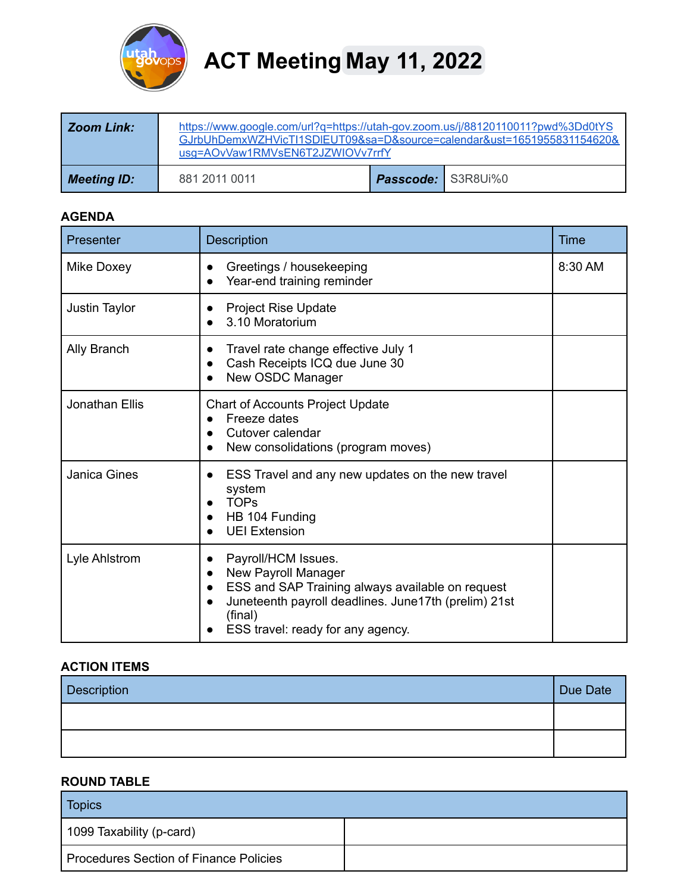

# **ACT Meeting May 11, 2022**

| Zoom Link:  | https://www.google.com/url?g=https://utah-gov.zoom.us/j/88120110011?pwd%3Dd0tYS<br>GJrbUhDemxWZHVicTI1SDIEUT09&sa=D&source=calendar&ust=1651955831154620&<br>usg=AOvVaw1RMVsEN6T2JZWIOVv7rrfY |                           |  |
|-------------|-----------------------------------------------------------------------------------------------------------------------------------------------------------------------------------------------|---------------------------|--|
| Meeting ID: | 881 2011 0011                                                                                                                                                                                 | <b>Passcode:</b> S3R8Ui%0 |  |

## **AGENDA**

| Presenter             | Description                                                                                                                                                                                            | <b>Time</b> |
|-----------------------|--------------------------------------------------------------------------------------------------------------------------------------------------------------------------------------------------------|-------------|
| Mike Doxey            | Greetings / housekeeping<br>Year-end training reminder                                                                                                                                                 | 8:30 AM     |
| Justin Taylor         | <b>Project Rise Update</b><br>3.10 Moratorium                                                                                                                                                          |             |
| Ally Branch           | Travel rate change effective July 1<br>Cash Receipts ICQ due June 30<br>New OSDC Manager                                                                                                               |             |
| <b>Jonathan Ellis</b> | <b>Chart of Accounts Project Update</b><br>Freeze dates<br>Cutover calendar<br>New consolidations (program moves)                                                                                      |             |
| <b>Janica Gines</b>   | ESS Travel and any new updates on the new travel<br>$\bullet$<br>system<br><b>TOPs</b><br>HB 104 Funding<br><b>UEI Extension</b>                                                                       |             |
| Lyle Ahlstrom         | Payroll/HCM Issues.<br>New Payroll Manager<br>ESS and SAP Training always available on request<br>Juneteenth payroll deadlines. June17th (prelim) 21st<br>(final)<br>ESS travel: ready for any agency. |             |

# **ACTION ITEMS**

| Description | Due Date |
|-------------|----------|
|             |          |
|             |          |

#### **ROUND TABLE**

| <b>Topics</b>                          |  |  |
|----------------------------------------|--|--|
| 1099 Taxability (p-card)               |  |  |
| Procedures Section of Finance Policies |  |  |